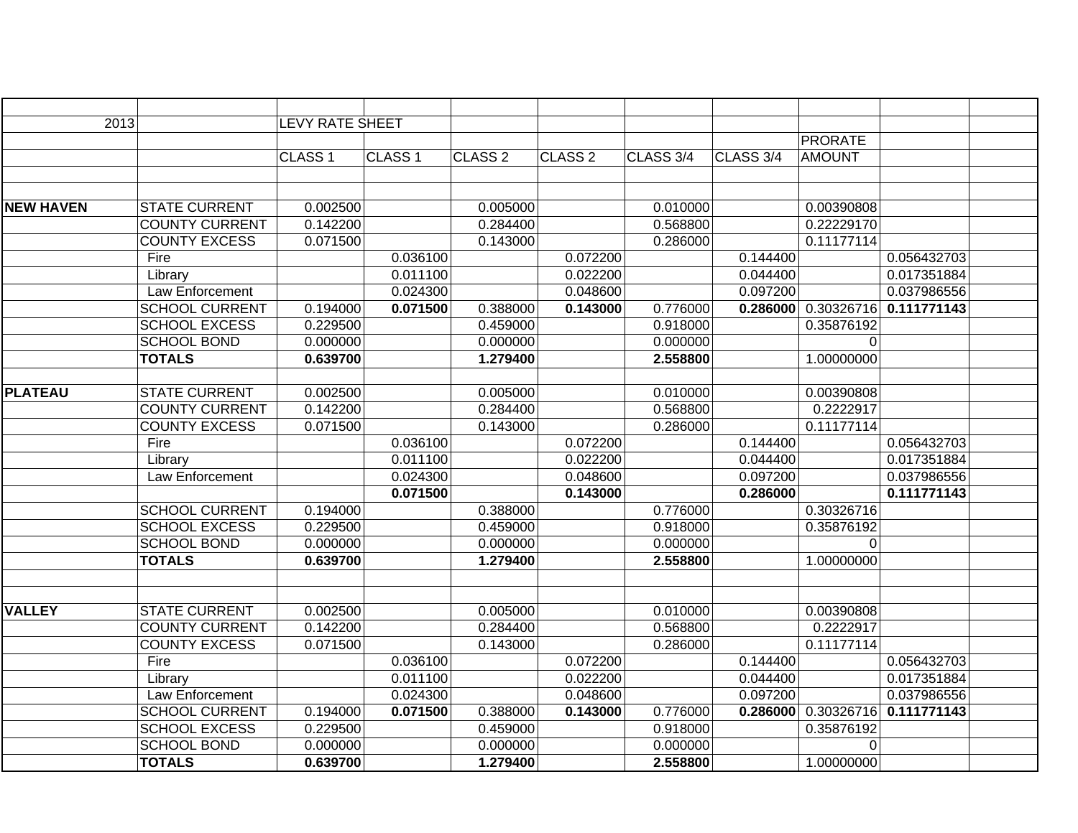| 2013             |                       | <b>LEVY RATE SHEET</b> |                    |                    |                    |           |           |                |             |  |
|------------------|-----------------------|------------------------|--------------------|--------------------|--------------------|-----------|-----------|----------------|-------------|--|
|                  |                       |                        |                    |                    |                    |           |           | <b>PRORATE</b> |             |  |
|                  |                       | CLASS <sub>1</sub>     | CLASS <sub>1</sub> | CLASS <sub>2</sub> | CLASS <sub>2</sub> | CLASS 3/4 | CLASS 3/4 | <b>AMOUNT</b>  |             |  |
|                  |                       |                        |                    |                    |                    |           |           |                |             |  |
|                  |                       |                        |                    |                    |                    |           |           |                |             |  |
| <b>NEW HAVEN</b> | <b>STATE CURRENT</b>  | 0.002500               |                    | 0.005000           |                    | 0.010000  |           | 0.00390808     |             |  |
|                  | <b>COUNTY CURRENT</b> | 0.142200               |                    | 0.284400           |                    | 0.568800  |           | 0.22229170     |             |  |
|                  | <b>COUNTY EXCESS</b>  | 0.071500               |                    | 0.143000           |                    | 0.286000  |           | 0.11177114     |             |  |
|                  | Fire                  |                        | 0.036100           |                    | 0.072200           |           | 0.144400  |                | 0.056432703 |  |
|                  | Library               |                        | 0.011100           |                    | 0.022200           |           | 0.044400  |                | 0.017351884 |  |
|                  | Law Enforcement       |                        | 0.024300           |                    | 0.048600           |           | 0.097200  |                | 0.037986556 |  |
|                  | <b>SCHOOL CURRENT</b> | 0.194000               | 0.071500           | 0.388000           | 0.143000           | 0.776000  | 0.286000  | 0.30326716     | 0.111771143 |  |
|                  | <b>SCHOOL EXCESS</b>  | 0.229500               |                    | 0.459000           |                    | 0.918000  |           | 0.35876192     |             |  |
|                  | <b>SCHOOL BOND</b>    | 0.000000               |                    | 0.000000           |                    | 0.000000  |           | 0              |             |  |
|                  | <b>TOTALS</b>         | 0.639700               |                    | 1.279400           |                    | 2.558800  |           | 1.00000000     |             |  |
|                  |                       |                        |                    |                    |                    |           |           |                |             |  |
| <b>PLATEAU</b>   | <b>STATE CURRENT</b>  | 0.002500               |                    | 0.005000           |                    | 0.010000  |           | 0.00390808     |             |  |
|                  | <b>COUNTY CURRENT</b> | 0.142200               |                    | 0.284400           |                    | 0.568800  |           | 0.2222917      |             |  |
|                  | <b>COUNTY EXCESS</b>  | 0.071500               |                    | 0.143000           |                    | 0.286000  |           | 0.11177114     |             |  |
|                  | Fire                  |                        | 0.036100           |                    | 0.072200           |           | 0.144400  |                | 0.056432703 |  |
|                  | Library               |                        | 0.011100           |                    | 0.022200           |           | 0.044400  |                | 0.017351884 |  |
|                  | Law Enforcement       |                        | 0.024300           |                    | 0.048600           |           | 0.097200  |                | 0.037986556 |  |
|                  |                       |                        | 0.071500           |                    | 0.143000           |           | 0.286000  |                | 0.111771143 |  |
|                  | <b>SCHOOL CURRENT</b> | 0.194000               |                    | 0.388000           |                    | 0.776000  |           | 0.30326716     |             |  |
|                  | <b>SCHOOL EXCESS</b>  | 0.229500               |                    | 0.459000           |                    | 0.918000  |           | 0.35876192     |             |  |
|                  | <b>SCHOOL BOND</b>    | 0.000000               |                    | 0.000000           |                    | 0.000000  |           | 0              |             |  |
|                  | <b>TOTALS</b>         | 0.639700               |                    | 1.279400           |                    | 2.558800  |           | 1.00000000     |             |  |
|                  |                       |                        |                    |                    |                    |           |           |                |             |  |
|                  |                       |                        |                    |                    |                    |           |           |                |             |  |
| <b>VALLEY</b>    | <b>STATE CURRENT</b>  | 0.002500               |                    | 0.005000           |                    | 0.010000  |           | 0.00390808     |             |  |
|                  | <b>COUNTY CURRENT</b> | 0.142200               |                    | 0.284400           |                    | 0.568800  |           | 0.2222917      |             |  |
|                  | <b>COUNTY EXCESS</b>  | 0.071500               |                    | 0.143000           |                    | 0.286000  |           | 0.11177114     |             |  |
|                  | Fire                  |                        | 0.036100           |                    | 0.072200           |           | 0.144400  |                | 0.056432703 |  |
|                  | Library               |                        | 0.011100           |                    | 0.022200           |           | 0.044400  |                | 0.017351884 |  |
|                  | Law Enforcement       |                        | 0.024300           |                    | 0.048600           |           | 0.097200  |                | 0.037986556 |  |
|                  | <b>SCHOOL CURRENT</b> | 0.194000               | 0.071500           | 0.388000           | 0.143000           | 0.776000  | 0.286000  | 0.30326716     | 0.111771143 |  |
|                  | <b>SCHOOL EXCESS</b>  | 0.229500               |                    | 0.459000           |                    | 0.918000  |           | 0.35876192     |             |  |
|                  | <b>SCHOOL BOND</b>    | 0.000000               |                    | 0.000000           |                    | 0.000000  |           | $\overline{0}$ |             |  |
|                  | <b>TOTALS</b>         | 0.639700               |                    | 1.279400           |                    | 2.558800  |           | 1.00000000     |             |  |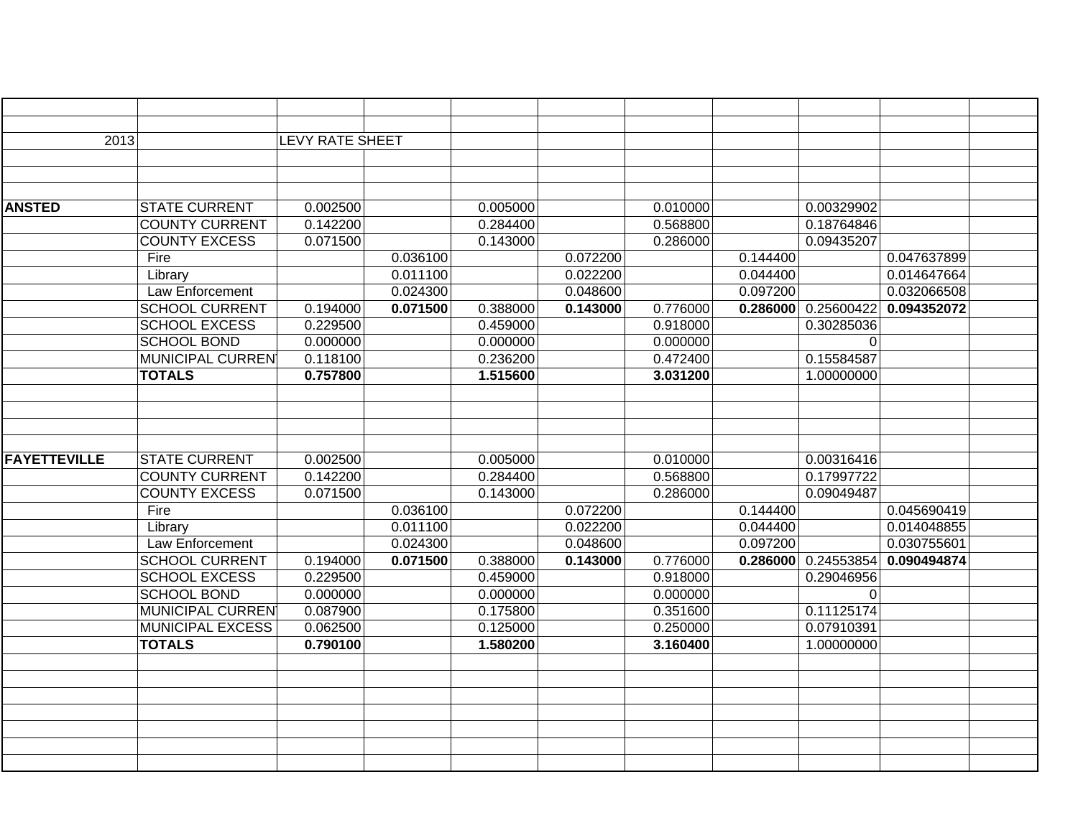| 2013                |                         | <b>LEVY RATE SHEET</b> |          |          |          |          |          |            |             |  |
|---------------------|-------------------------|------------------------|----------|----------|----------|----------|----------|------------|-------------|--|
|                     |                         |                        |          |          |          |          |          |            |             |  |
|                     |                         |                        |          |          |          |          |          |            |             |  |
|                     |                         |                        |          |          |          |          |          |            |             |  |
| <b>ANSTED</b>       | <b>STATE CURRENT</b>    | 0.002500               |          | 0.005000 |          | 0.010000 |          | 0.00329902 |             |  |
|                     | <b>COUNTY CURRENT</b>   | 0.142200               |          | 0.284400 |          | 0.568800 |          | 0.18764846 |             |  |
|                     | <b>COUNTY EXCESS</b>    | 0.071500               |          | 0.143000 |          | 0.286000 |          | 0.09435207 |             |  |
|                     | Fire                    |                        | 0.036100 |          | 0.072200 |          | 0.144400 |            | 0.047637899 |  |
|                     | Library                 |                        | 0.011100 |          | 0.022200 |          | 0.044400 |            | 0.014647664 |  |
|                     | Law Enforcement         |                        | 0.024300 |          | 0.048600 |          | 0.097200 |            | 0.032066508 |  |
|                     | <b>SCHOOL CURRENT</b>   | 0.194000               | 0.071500 | 0.388000 | 0.143000 | 0.776000 | 0.286000 | 0.25600422 | 0.094352072 |  |
|                     | <b>SCHOOL EXCESS</b>    | 0.229500               |          | 0.459000 |          | 0.918000 |          | 0.30285036 |             |  |
|                     | <b>SCHOOL BOND</b>      | 0.000000               |          | 0.000000 |          | 0.000000 |          | 0          |             |  |
|                     | <b>MUNICIPAL CURREN</b> | 0.118100               |          | 0.236200 |          | 0.472400 |          | 0.15584587 |             |  |
|                     | <b>TOTALS</b>           | 0.757800               |          | 1.515600 |          | 3.031200 |          | 1.00000000 |             |  |
|                     |                         |                        |          |          |          |          |          |            |             |  |
|                     |                         |                        |          |          |          |          |          |            |             |  |
|                     |                         |                        |          |          |          |          |          |            |             |  |
|                     |                         |                        |          |          |          |          |          |            |             |  |
| <b>FAYETTEVILLE</b> | <b>STATE CURRENT</b>    | 0.002500               |          | 0.005000 |          | 0.010000 |          | 0.00316416 |             |  |
|                     | <b>COUNTY CURRENT</b>   | 0.142200               |          | 0.284400 |          | 0.568800 |          | 0.17997722 |             |  |
|                     | <b>COUNTY EXCESS</b>    | 0.071500               |          | 0.143000 |          | 0.286000 |          | 0.09049487 |             |  |
|                     | Fire                    |                        | 0.036100 |          | 0.072200 |          | 0.144400 |            | 0.045690419 |  |
|                     | Library                 |                        | 0.011100 |          | 0.022200 |          | 0.044400 |            | 0.014048855 |  |
|                     | Law Enforcement         |                        | 0.024300 |          | 0.048600 |          | 0.097200 |            | 0.030755601 |  |
|                     | <b>SCHOOL CURRENT</b>   | 0.194000               | 0.071500 | 0.388000 | 0.143000 | 0.776000 | 0.286000 | 0.24553854 | 0.090494874 |  |
|                     | <b>SCHOOL EXCESS</b>    | 0.229500               |          | 0.459000 |          | 0.918000 |          | 0.29046956 |             |  |
|                     | <b>SCHOOL BOND</b>      | 0.000000               |          | 0.000000 |          | 0.000000 |          | 0          |             |  |
|                     | <b>MUNICIPAL CURREN</b> | 0.087900               |          | 0.175800 |          | 0.351600 |          | 0.11125174 |             |  |
|                     | <b>MUNICIPAL EXCESS</b> | 0.062500               |          | 0.125000 |          | 0.250000 |          | 0.07910391 |             |  |
|                     | <b>TOTALS</b>           | 0.790100               |          | 1.580200 |          | 3.160400 |          | 1.00000000 |             |  |
|                     |                         |                        |          |          |          |          |          |            |             |  |
|                     |                         |                        |          |          |          |          |          |            |             |  |
|                     |                         |                        |          |          |          |          |          |            |             |  |
|                     |                         |                        |          |          |          |          |          |            |             |  |
|                     |                         |                        |          |          |          |          |          |            |             |  |
|                     |                         |                        |          |          |          |          |          |            |             |  |
|                     |                         |                        |          |          |          |          |          |            |             |  |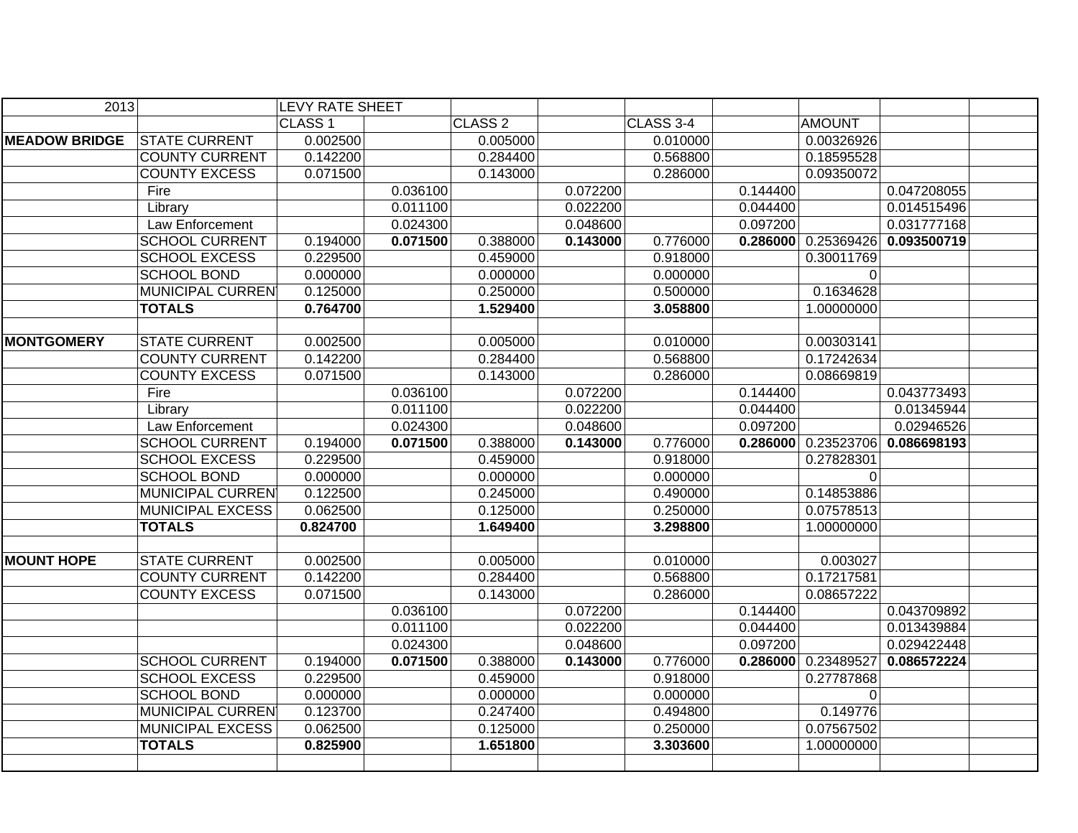| 2013                 |                         | <b>LEVY RATE SHEET</b> |          |                    |          |           |          |                     |             |
|----------------------|-------------------------|------------------------|----------|--------------------|----------|-----------|----------|---------------------|-------------|
|                      |                         | CLASS <sub>1</sub>     |          | CLASS <sub>2</sub> |          | CLASS 3-4 |          | <b>AMOUNT</b>       |             |
| <b>MEADOW BRIDGE</b> | <b>STATE CURRENT</b>    | 0.002500               |          | 0.005000           |          | 0.010000  |          | 0.00326926          |             |
|                      | <b>COUNTY CURRENT</b>   | 0.142200               |          | 0.284400           |          | 0.568800  |          | 0.18595528          |             |
|                      | <b>COUNTY EXCESS</b>    | 0.071500               |          | 0.143000           |          | 0.286000  |          | 0.09350072          |             |
|                      | Fire                    |                        | 0.036100 |                    | 0.072200 |           | 0.144400 |                     | 0.047208055 |
|                      | Library                 |                        | 0.011100 |                    | 0.022200 |           | 0.044400 |                     | 0.014515496 |
|                      | Law Enforcement         |                        | 0.024300 |                    | 0.048600 |           | 0.097200 |                     | 0.031777168 |
|                      | <b>SCHOOL CURRENT</b>   | 0.194000               | 0.071500 | 0.388000           | 0.143000 | 0.776000  |          | 0.286000 0.25369426 | 0.093500719 |
|                      | <b>SCHOOL EXCESS</b>    | 0.229500               |          | 0.459000           |          | 0.918000  |          | 0.30011769          |             |
|                      | <b>SCHOOL BOND</b>      | 0.000000               |          | 0.000000           |          | 0.000000  |          | $\mathbf 0$         |             |
|                      | <b>MUNICIPAL CURREN</b> | 0.125000               |          | 0.250000           |          | 0.500000  |          | 0.1634628           |             |
|                      | <b>TOTALS</b>           | 0.764700               |          | 1.529400           |          | 3.058800  |          | 1.00000000          |             |
|                      |                         |                        |          |                    |          |           |          |                     |             |
| <b>MONTGOMERY</b>    | <b>STATE CURRENT</b>    | 0.002500               |          | 0.005000           |          | 0.010000  |          | 0.00303141          |             |
|                      | <b>COUNTY CURRENT</b>   | 0.142200               |          | 0.284400           |          | 0.568800  |          | 0.17242634          |             |
|                      | <b>COUNTY EXCESS</b>    | 0.071500               |          | 0.143000           |          | 0.286000  |          | 0.08669819          |             |
|                      | Fire                    |                        | 0.036100 |                    | 0.072200 |           | 0.144400 |                     | 0.043773493 |
|                      | Library                 |                        | 0.011100 |                    | 0.022200 |           | 0.044400 |                     | 0.01345944  |
|                      | Law Enforcement         |                        | 0.024300 |                    | 0.048600 |           | 0.097200 |                     | 0.02946526  |
|                      | <b>SCHOOL CURRENT</b>   | 0.194000               | 0.071500 | 0.388000           | 0.143000 | 0.776000  | 0.286000 | 0.23523706          | 0.086698193 |
|                      | <b>SCHOOL EXCESS</b>    | 0.229500               |          | 0.459000           |          | 0.918000  |          | 0.27828301          |             |
|                      | <b>SCHOOL BOND</b>      | 0.000000               |          | 0.000000           |          | 0.000000  |          | 0                   |             |
|                      | <b>MUNICIPAL CURREN</b> | 0.122500               |          | 0.245000           |          | 0.490000  |          | 0.14853886          |             |
|                      | <b>MUNICIPAL EXCESS</b> | 0.062500               |          | 0.125000           |          | 0.250000  |          | 0.07578513          |             |
|                      | <b>TOTALS</b>           | 0.824700               |          | 1.649400           |          | 3.298800  |          | 1.00000000          |             |
|                      |                         |                        |          |                    |          |           |          |                     |             |
| <b>MOUNT HOPE</b>    | <b>STATE CURRENT</b>    | 0.002500               |          | 0.005000           |          | 0.010000  |          | 0.003027            |             |
|                      | <b>COUNTY CURRENT</b>   | 0.142200               |          | 0.284400           |          | 0.568800  |          | 0.17217581          |             |
|                      | <b>COUNTY EXCESS</b>    | 0.071500               |          | 0.143000           |          | 0.286000  |          | 0.08657222          |             |
|                      |                         |                        | 0.036100 |                    | 0.072200 |           | 0.144400 |                     | 0.043709892 |
|                      |                         |                        | 0.011100 |                    | 0.022200 |           | 0.044400 |                     | 0.013439884 |
|                      |                         |                        | 0.024300 |                    | 0.048600 |           | 0.097200 |                     | 0.029422448 |
|                      | <b>SCHOOL CURRENT</b>   | 0.194000               | 0.071500 | 0.388000           | 0.143000 | 0.776000  | 0.286000 | 0.23489527          | 0.086572224 |
|                      | <b>SCHOOL EXCESS</b>    | 0.229500               |          | 0.459000           |          | 0.918000  |          | 0.27787868          |             |
|                      | <b>SCHOOL BOND</b>      | 0.000000               |          | 0.000000           |          | 0.000000  |          | $\Omega$            |             |
|                      | <b>MUNICIPAL CURREN</b> | 0.123700               |          | 0.247400           |          | 0.494800  |          | 0.149776            |             |
|                      | MUNICIPAL EXCESS        | 0.062500               |          | 0.125000           |          | 0.250000  |          | 0.07567502          |             |
|                      | <b>TOTALS</b>           | 0.825900               |          | 1.651800           |          | 3.303600  |          | 1.00000000          |             |
|                      |                         |                        |          |                    |          |           |          |                     |             |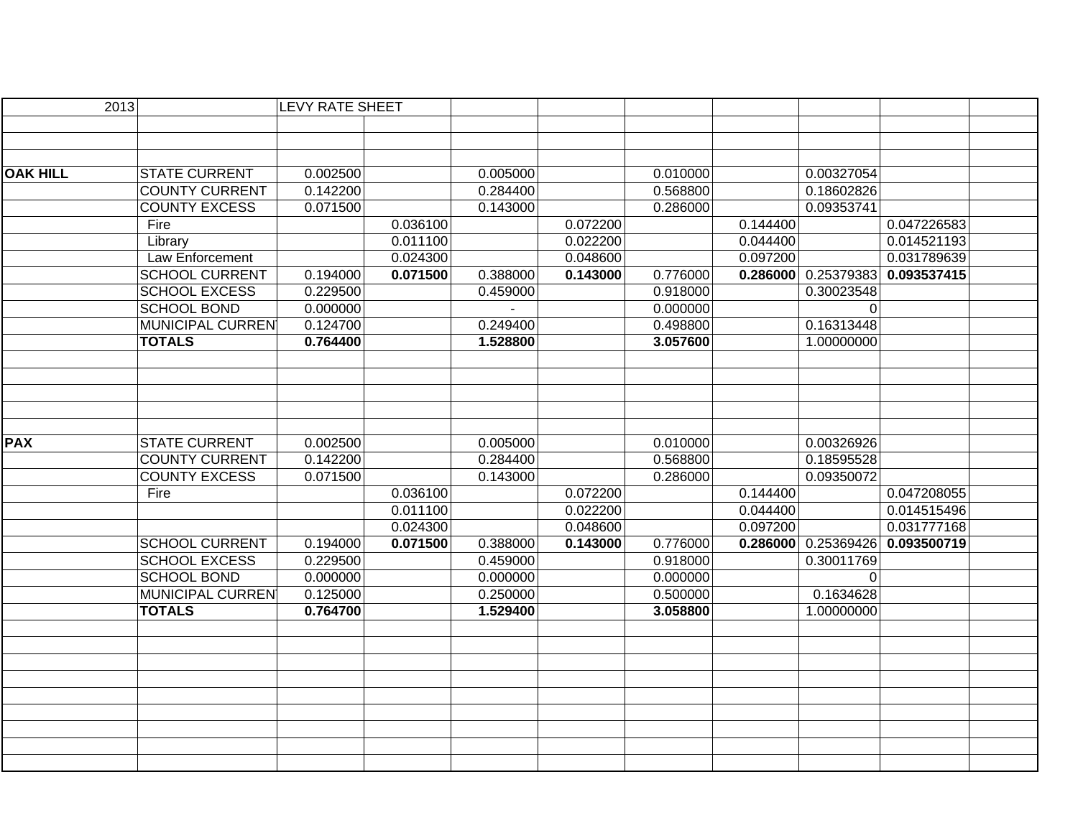| 2013            |                         | <b>LEVY RATE SHEET</b> |          |          |          |          |          |                       |             |
|-----------------|-------------------------|------------------------|----------|----------|----------|----------|----------|-----------------------|-------------|
|                 |                         |                        |          |          |          |          |          |                       |             |
|                 |                         |                        |          |          |          |          |          |                       |             |
|                 |                         |                        |          |          |          |          |          |                       |             |
| <b>OAK HILL</b> | <b>STATE CURRENT</b>    | 0.002500               |          | 0.005000 |          | 0.010000 |          | 0.00327054            |             |
|                 | <b>COUNTY CURRENT</b>   | 0.142200               |          | 0.284400 |          | 0.568800 |          | 0.18602826            |             |
|                 | <b>COUNTY EXCESS</b>    | 0.071500               |          | 0.143000 |          | 0.286000 |          | 0.09353741            |             |
|                 | Fire                    |                        | 0.036100 |          | 0.072200 |          | 0.144400 |                       | 0.047226583 |
|                 | Library                 |                        | 0.011100 |          | 0.022200 |          | 0.044400 |                       | 0.014521193 |
|                 | Law Enforcement         |                        | 0.024300 |          | 0.048600 |          | 0.097200 |                       | 0.031789639 |
|                 | <b>SCHOOL CURRENT</b>   | 0.194000               | 0.071500 | 0.388000 | 0.143000 | 0.776000 |          | 0.286000   0.25379383 | 0.093537415 |
|                 | <b>SCHOOL EXCESS</b>    | 0.229500               |          | 0.459000 |          | 0.918000 |          | 0.30023548            |             |
|                 | <b>SCHOOL BOND</b>      | 0.000000               |          |          |          | 0.000000 |          | $\Omega$              |             |
|                 | MUNICIPAL CURREN        | 0.124700               |          | 0.249400 |          | 0.498800 |          | 0.16313448            |             |
|                 | <b>TOTALS</b>           | 0.764400               |          | 1.528800 |          | 3.057600 |          | 1.00000000            |             |
|                 |                         |                        |          |          |          |          |          |                       |             |
|                 |                         |                        |          |          |          |          |          |                       |             |
|                 |                         |                        |          |          |          |          |          |                       |             |
|                 |                         |                        |          |          |          |          |          |                       |             |
|                 |                         |                        |          |          |          |          |          |                       |             |
| <b>PAX</b>      | <b>STATE CURRENT</b>    | 0.002500               |          | 0.005000 |          | 0.010000 |          | 0.00326926            |             |
|                 | <b>COUNTY CURRENT</b>   | 0.142200               |          | 0.284400 |          | 0.568800 |          | 0.18595528            |             |
|                 | <b>COUNTY EXCESS</b>    | 0.071500               |          | 0.143000 |          | 0.286000 |          | 0.09350072            |             |
|                 | Fire                    |                        | 0.036100 |          | 0.072200 |          | 0.144400 |                       | 0.047208055 |
|                 |                         |                        | 0.011100 |          | 0.022200 |          | 0.044400 |                       | 0.014515496 |
|                 |                         |                        | 0.024300 |          | 0.048600 |          | 0.097200 |                       | 0.031777168 |
|                 | <b>SCHOOL CURRENT</b>   | 0.194000               | 0.071500 | 0.388000 | 0.143000 | 0.776000 | 0.286000 | 0.25369426            | 0.093500719 |
|                 | <b>SCHOOL EXCESS</b>    | 0.229500               |          | 0.459000 |          | 0.918000 |          | 0.30011769            |             |
|                 | <b>SCHOOL BOND</b>      | 0.000000               |          | 0.000000 |          | 0.000000 |          | 0                     |             |
|                 | <b>MUNICIPAL CURREN</b> | 0.125000               |          | 0.250000 |          | 0.500000 |          | 0.1634628             |             |
|                 | <b>TOTALS</b>           | 0.764700               |          | 1.529400 |          | 3.058800 |          | 1.00000000            |             |
|                 |                         |                        |          |          |          |          |          |                       |             |
|                 |                         |                        |          |          |          |          |          |                       |             |
|                 |                         |                        |          |          |          |          |          |                       |             |
|                 |                         |                        |          |          |          |          |          |                       |             |
|                 |                         |                        |          |          |          |          |          |                       |             |
|                 |                         |                        |          |          |          |          |          |                       |             |
|                 |                         |                        |          |          |          |          |          |                       |             |
|                 |                         |                        |          |          |          |          |          |                       |             |
|                 |                         |                        |          |          |          |          |          |                       |             |